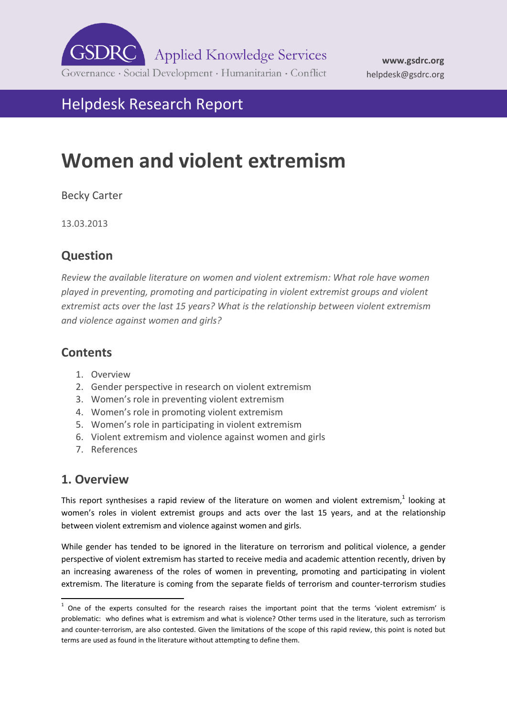

## Helpdesk Research Report

# **Women and violent extremism**

Becky Carter

13.03.2013

### **Question**

*Review the available literature on women and violent extremism: What role have women played in preventing, promoting and participating in violent extremist groups and violent extremist acts over the last 15 years? What is the relationship between violent extremism and violence against women and girls?*

### **Contents**

- 1. [Overview](#page-0-0)
- 2. [Gender perspective in research on violent extremism](#page-2-0)
- 3. [Women's role in preventing violent extremism](#page-3-0)
- 4. [Women's role in promoting violent extremism](#page-4-0)
- 5. [Women's role in participating in violent extrem](#page-5-0)ism
- 6. [Violent extremism and violence against women and girls](#page-7-0)
- 7. [References](#page-9-0)

### <span id="page-0-0"></span>**1. Overview**

**.** 

This report synthesises a rapid review of the literature on women and violent extremism,<sup>1</sup> looking at women's roles in violent extremist groups and acts over the last 15 years, and at the relationship between violent extremism and violence against women and girls.

While gender has tended to be ignored in the literature on terrorism and political violence, a gender perspective of violent extremism has started to receive media and academic attention recently, driven by an increasing awareness of the roles of women in preventing, promoting and participating in violent extremism. The literature is coming from the separate fields of terrorism and counter-terrorism studies

 $1$  One of the experts consulted for the research raises the important point that the terms 'violent extremism' is problematic: who defines what is extremism and what is violence? Other terms used in the literature, such as terrorism and counter-terrorism, are also contested. Given the limitations of the scope of this rapid review, this point is noted but terms are used as found in the literature without attempting to define them.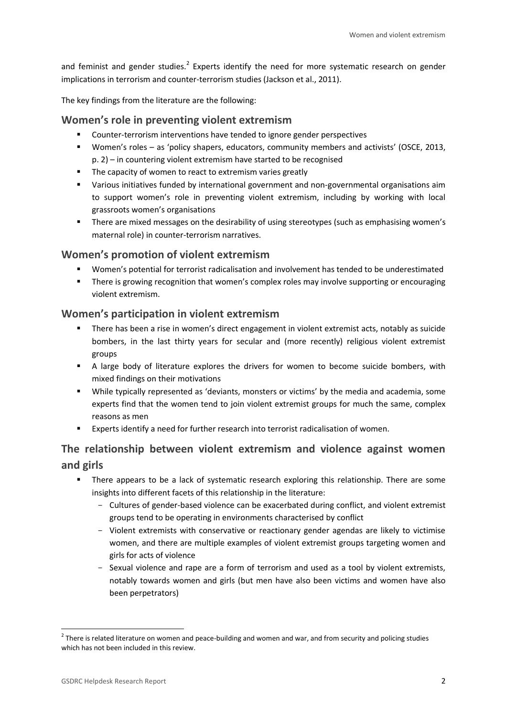and feminist and gender studies.<sup>2</sup> Experts identify the need for more systematic research on gender implications in terrorism and counter-terrorism studies (Jackson et al., 2011).

The key findings from the literature are the following:

#### **Women's role in preventing violent extremism**

- Counter-terrorism interventions have tended to ignore gender perspectives
- Women's roles as 'policy shapers, educators, community members and activists' (OSCE, 2013, p. 2) – in countering violent extremism have started to be recognised
- **The capacity of women to react to extremism varies greatly**
- Various initiatives funded by international government and non-governmental organisations aim to support women's role in preventing violent extremism, including by working with local grassroots women's organisations
- **There are mixed messages on the desirability of using stereotypes (such as emphasising women's** maternal role) in counter-terrorism narratives.

#### **Women's promotion of violent extremism**

- Women's potential for terrorist radicalisation and involvement has tended to be underestimated
- **There is growing recognition that women's complex roles may involve supporting or encouraging** violent extremism.

#### **Women's participation in violent extremism**

- **There has been a rise in women's direct engagement in violent extremist acts, notably as suicide** bombers, in the last thirty years for secular and (more recently) religious violent extremist groups
- A large body of literature explores the drivers for women to become suicide bombers, with mixed findings on their motivations
- While typically represented as 'deviants, monsters or victims' by the media and academia, some experts find that the women tend to join violent extremist groups for much the same, complex reasons as men
- Experts identify a need for further research into terrorist radicalisation of women.

### **The relationship between violent extremism and violence against women and girls**

- There appears to be a lack of systematic research exploring this relationship. There are some insights into different facets of this relationship in the literature:
	- Cultures of gender-based violence can be exacerbated during conflict, and violent extremist groups tend to be operating in environments characterised by conflict
	- Violent extremists with conservative or reactionary gender agendas are likely to victimise women, and there are multiple examples of violent extremist groups targeting women and girls for acts of violence
	- Sexual violence and rape are a form of terrorism and used as a tool by violent extremists, notably towards women and girls (but men have also been victims and women have also been perpetrators)

**<sup>.</sup>** <sup>2</sup> There is related literature on women and peace-building and women and war, and from security and policing studies which has not been included in this review.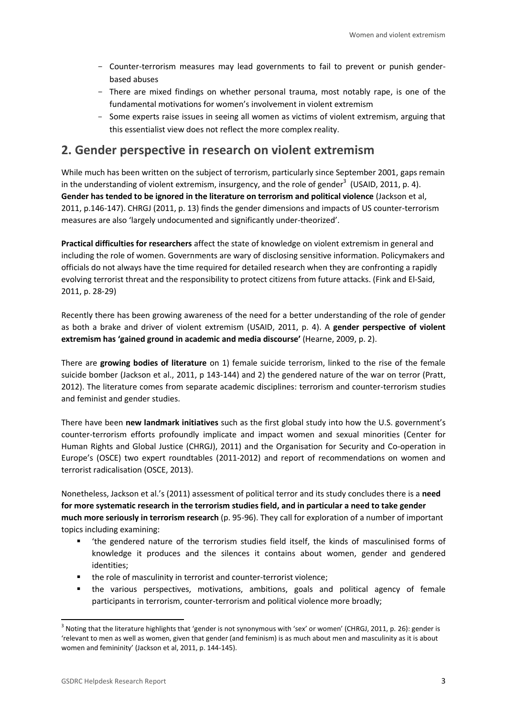- Counter-terrorism measures may lead governments to fail to prevent or punish genderbased abuses
- There are mixed findings on whether personal trauma, most notably rape, is one of the fundamental motivations for women's involvement in violent extremism
- Some experts raise issues in seeing all women as victims of violent extremism, arguing that this essentialist view does not reflect the more complex reality.

### <span id="page-2-0"></span>**2. Gender perspective in research on violent extremism**

While much has been written on the subject of terrorism, particularly since September 2001, gaps remain in the understanding of violent extremism, insurgency, and the role of gender<sup>3</sup> (USAID, 2011, p. 4). **Gender has tended to be ignored in the literature on terrorism and political violence** (Jackson et al, 2011, p.146-147). CHRGJ (2011, p. 13) finds the gender dimensions and impacts of US counter-terrorism measures are also 'largely undocumented and significantly under-theorized'.

**Practical difficulties for researchers** affect the state of knowledge on violent extremism in general and including the role of women. Governments are wary of disclosing sensitive information. Policymakers and officials do not always have the time required for detailed research when they are confronting a rapidly evolving terrorist threat and the responsibility to protect citizens from future attacks. (Fink and El-Said, 2011, p. 28-29)

Recently there has been growing awareness of the need for a better understanding of the role of gender as both a brake and driver of violent extremism (USAID, 2011, p. 4). A **gender perspective of violent extremism has 'gained ground in academic and media discourse'** (Hearne, 2009, p. 2).

There are **growing bodies of literature** on 1) female suicide terrorism, linked to the rise of the female suicide bomber (Jackson et al., 2011, p 143-144) and 2) the gendered nature of the war on terror (Pratt, 2012). The literature comes from separate academic disciplines: terrorism and counter-terrorism studies and feminist and gender studies.

There have been **new landmark initiatives** such as the first global study into how the U.S. government's counter-terrorism efforts profoundly implicate and impact women and sexual minorities (Center for Human Rights and Global Justice (CHRGJ), 2011) and the Organisation for Security and Co-operation in Europe's (OSCE) two expert roundtables (2011-2012) and report of recommendations on women and terrorist radicalisation (OSCE, 2013).

Nonetheless, Jackson et al.'s (2011) assessment of political terror and its study concludes there is a **need for more systematic research in the terrorism studies field, and in particular a need to take gender much more seriously in terrorism research** (p. 95-96). They call for exploration of a number of important topics including examining:

- 'the gendered nature of the terrorism studies field itself, the kinds of masculinised forms of knowledge it produces and the silences it contains about women, gender and gendered identities;
- the role of masculinity in terrorist and counter-terrorist violence;
- the various perspectives, motivations, ambitions, goals and political agency of female participants in terrorism, counter-terrorism and political violence more broadly;

1

 $3$  Noting that the literature highlights that 'gender is not synonymous with 'sex' or women' (CHRGJ, 2011, p. 26): gender is 'relevant to men as well as women, given that gender (and feminism) is as much about men and masculinity as it is about women and femininity' (Jackson et al, 2011, p. 144-145).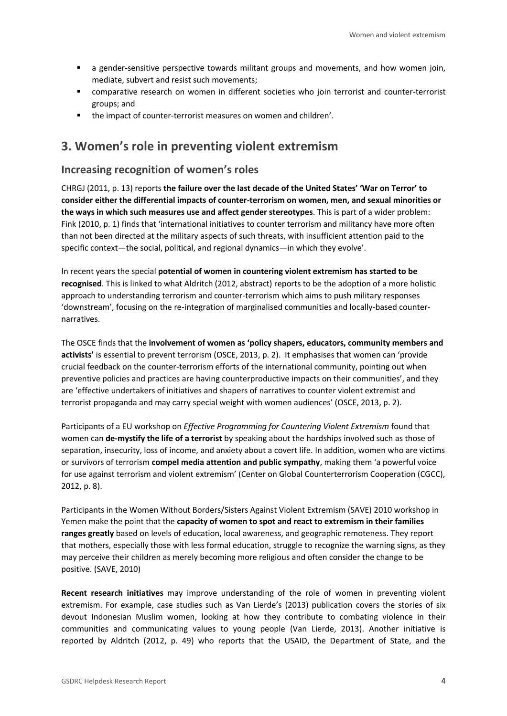- a gender-sensitive perspective towards militant groups and movements, and how women join, mediate, subvert and resist such movements;
- comparative research on women in different societies who join terrorist and counter-terrorist groups; and
- the impact of counter-terrorist measures on women and children'.

### <span id="page-3-0"></span>**3. Women's role in preventing violent extremism**

#### **Increasing recognition of women's roles**

CHRGJ (2011, p. 13) reports **the failure over the last decade of the United States' 'War on Terror' to consider either the differential impacts of counter-terrorism on women, men, and sexual minorities or the ways in which such measures use and affect gender stereotypes**. This is part of a wider problem: Fink (2010, p. 1) finds that 'international initiatives to counter terrorism and militancy have more often than not been directed at the military aspects of such threats, with insufficient attention paid to the specific context—the social, political, and regional dynamics—in which they evolve'.

In recent years the special **potential of women in countering violent extremism has started to be recognised**. This is linked to what Aldritch (2012, abstract) reports to be the adoption of a more holistic approach to understanding terrorism and counter-terrorism which aims to push military responses 'downstream', focusing on the re-integration of marginalised communities and locally-based counternarratives.

The OSCE finds that the **involvement of women as 'policy shapers, educators, community members and activists'** is essential to prevent terrorism (OSCE, 2013, p. 2). It emphasises that women can 'provide crucial feedback on the counter-terrorism efforts of the international community, pointing out when preventive policies and practices are having counterproductive impacts on their communities', and they are 'effective undertakers of initiatives and shapers of narratives to counter violent extremist and terrorist propaganda and may carry special weight with women audiences' (OSCE, 2013, p. 2).

Participants of a EU workshop on *Effective Programming for Countering Violent Extremism* found that women can **de-mystify the life of a terrorist** by speaking about the hardships involved such as those of separation, insecurity, loss of income, and anxiety about a covert life. In addition, women who are victims or survivors of terrorism **compel media attention and public sympathy**, making them 'a powerful voice for use against terrorism and violent extremism' (Center on Global Counterterrorism Cooperation (CGCC), 2012, p. 8).

Participants in the Women Without Borders/Sisters Against Violent Extremism (SAVE) 2010 workshop in Yemen make the point that the **capacity of women to spot and react to extremism in their families ranges greatly** based on levels of education, local awareness, and geographic remoteness. They report that mothers, especially those with less formal education, struggle to recognize the warning signs, as they may perceive their children as merely becoming more religious and often consider the change to be positive. (SAVE, 2010)

**Recent research initiatives** may improve understanding of the role of women in preventing violent extremism. For example, case studies such as Van Lierde's (2013) publication covers the stories of six devout Indonesian Muslim women, looking at how they contribute to combating violence in their communities and communicating values to young people (Van Lierde, 2013). Another initiative is reported by Aldritch (2012, p. 49) who reports that the USAID, the Department of State, and the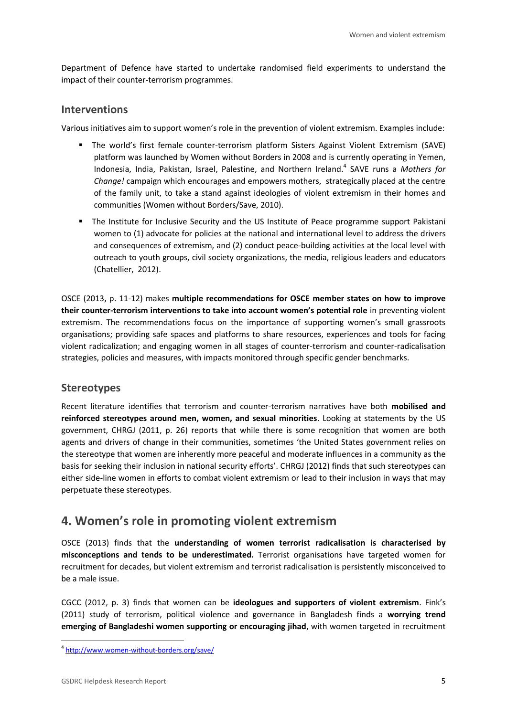Department of Defence have started to undertake randomised field experiments to understand the impact of their counter-terrorism programmes.

#### **Interventions**

Various initiatives aim to support women's role in the prevention of violent extremism. Examples include:

- The world's first female counter-terrorism platform Sisters Against Violent Extremism (SAVE) platform was launched by Women without Borders in 2008 and is currently operating in Yemen, Indonesia, India, Pakistan, Israel, Palestine, and Northern Ireland.<sup>4</sup> SAVE runs a Mothers for *Change!* campaign which encourages and empowers mothers, strategically placed at the centre of the family unit, to take a stand against ideologies of violent extremism in their homes and communities (Women without Borders/Save, 2010).
- The Institute for Inclusive Security and the US Institute of Peace programme support Pakistani women to (1) advocate for policies at the national and international level to address the drivers and consequences of extremism, and (2) conduct peace-building activities at the local level with outreach to youth groups, civil society organizations, the media, religious leaders and educators (Chatellier, 2012).

OSCE (2013, p. 11-12) makes **multiple recommendations for OSCE member states on how to improve their counter-terrorism interventions to take into account women's potential role** in preventing violent extremism. The recommendations focus on the importance of supporting women's small grassroots organisations; providing safe spaces and platforms to share resources, experiences and tools for facing violent radicalization; and engaging women in all stages of counter-terrorism and counter-radicalisation strategies, policies and measures, with impacts monitored through specific gender benchmarks.

#### **Stereotypes**

Recent literature identifies that terrorism and counter-terrorism narratives have both **mobilised and reinforced stereotypes around men, women, and sexual minorities**. Looking at statements by the US government, CHRGJ (2011, p. 26) reports that while there is some recognition that women are both agents and drivers of change in their communities, sometimes 'the United States government relies on the stereotype that women are inherently more peaceful and moderate influences in a community as the basis for seeking their inclusion in national security efforts'. CHRGJ (2012) finds that such stereotypes can either side-line women in efforts to combat violent extremism or lead to their inclusion in ways that may perpetuate these stereotypes.

### <span id="page-4-0"></span>**4. Women's role in promoting violent extremism**

OSCE (2013) finds that the **understanding of women terrorist radicalisation is characterised by misconceptions and tends to be underestimated.** Terrorist organisations have targeted women for recruitment for decades, but violent extremism and terrorist radicalisation is persistently misconceived to be a male issue.

CGCC (2012, p. 3) finds that women can be **ideologues and supporters of violent extremism**. Fink's (2011) study of terrorism, political violence and governance in Bangladesh finds a **worrying trend emerging of Bangladeshi women supporting or encouraging jihad**, with women targeted in recruitment

**.** 

<sup>4</sup> <http://www.women-without-borders.org/save/>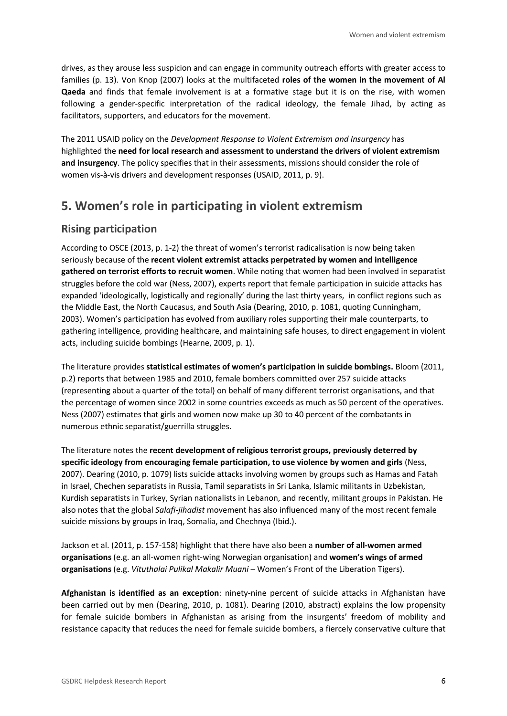drives, as they arouse less suspicion and can engage in community outreach efforts with greater access to families (p. 13). Von Knop (2007) looks at the multifaceted **roles of the women in the movement of Al Qaeda** and finds that female involvement is at a formative stage but it is on the rise, with women following a gender-specific interpretation of the radical ideology, the female Jihad, by acting as facilitators, supporters, and educators for the movement.

The 2011 USAID policy on the *Development Response to Violent Extremism and Insurgency* has highlighted the **need for local research and assessment to understand the drivers of violent extremism and insurgency**. The policy specifies that in their assessments, missions should consider the role of women vis-à-vis drivers and development responses (USAID, 2011, p. 9).

### <span id="page-5-0"></span>**5. Women's role in participating in violent extremism**

#### **Rising participation**

According to OSCE (2013, p. 1-2) the threat of women's terrorist radicalisation is now being taken seriously because of the **recent violent extremist attacks perpetrated by women and intelligence gathered on terrorist efforts to recruit women**. While noting that women had been involved in separatist struggles before the cold war (Ness, 2007), experts report that female participation in suicide attacks has expanded 'ideologically, logistically and regionally' during the last thirty years, in conflict regions such as the Middle East, the North Caucasus, and South Asia (Dearing, 2010, p. 1081, quoting Cunningham, 2003). Women's participation has evolved from auxiliary roles supporting their male counterparts, to gathering intelligence, providing healthcare, and maintaining safe houses, to direct engagement in violent acts, including suicide bombings (Hearne, 2009, p. 1).

The literature provides **statistical estimates of women's participation in suicide bombings.** Bloom (2011, p.2) reports that between 1985 and 2010, female bombers committed over 257 suicide attacks (representing about a quarter of the total) on behalf of many different terrorist organisations, and that the percentage of women since 2002 in some countries exceeds as much as 50 percent of the operatives. Ness (2007) estimates that girls and women now make up 30 to 40 percent of the combatants in numerous ethnic separatist/guerrilla struggles.

The literature notes the **recent development of religious terrorist groups, previously deterred by specific ideology from encouraging female participation, to use violence by women and girls** (Ness, 2007). Dearing (2010, p. 1079) lists suicide attacks involving women by groups such as Hamas and Fatah in Israel, Chechen separatists in Russia, Tamil separatists in Sri Lanka, Islamic militants in Uzbekistan, Kurdish separatists in Turkey, Syrian nationalists in Lebanon, and recently, militant groups in Pakistan. He also notes that the global *Salafi-jihadist* movement has also influenced many of the most recent female suicide missions by groups in Iraq, Somalia, and Chechnya (Ibid.).

Jackson et al. (2011, p. 157-158) highlight that there have also been a **number of all-women armed organisations** (e.g. an all-women right-wing Norwegian organisation) and **women's wings of armed organisations** (e.g. *Vituthalai Pulikal Makalir Muani* – Women's Front of the Liberation Tigers).

**Afghanistan is identified as an exception**: ninety-nine percent of suicide attacks in Afghanistan have been carried out by men (Dearing, 2010, p. 1081). Dearing (2010, abstract) explains the low propensity for female suicide bombers in Afghanistan as arising from the insurgents' freedom of mobility and resistance capacity that reduces the need for female suicide bombers, a fiercely conservative culture that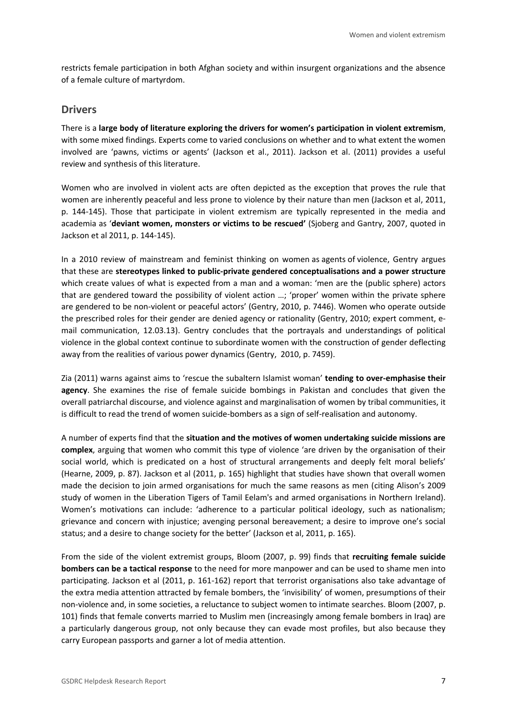restricts female participation in both Afghan society and within insurgent organizations and the absence of a female culture of martyrdom.

#### **Drivers**

There is a **large body of literature exploring the drivers for women's participation in violent extremism**, with some mixed findings. Experts come to varied conclusions on whether and to what extent the women involved are 'pawns, victims or agents' (Jackson et al., 2011). Jackson et al. (2011) provides a useful review and synthesis of this literature.

Women who are involved in violent acts are often depicted as the exception that proves the rule that women are inherently peaceful and less prone to violence by their nature than men (Jackson et al, 2011, p. 144-145). Those that participate in violent extremism are typically represented in the media and academia as '**deviant women, monsters or victims to be rescued'** (Sjoberg and Gantry, 2007, quoted in Jackson et al 2011, p. 144-145).

In a 2010 review of mainstream and feminist thinking on women as agents of violence, Gentry argues that these are **stereotypes linked to public-private gendered conceptualisations and a power structure** which create values of what is expected from a man and a woman: 'men are the (public sphere) actors that are gendered toward the possibility of violent action …; 'proper' women within the private sphere are gendered to be non-violent or peaceful actors' (Gentry, 2010, p. 7446). Women who operate outside the prescribed roles for their gender are denied agency or rationality (Gentry, 2010; expert comment, email communication, 12.03.13). Gentry concludes that the portrayals and understandings of political violence in the global context continue to subordinate women with the construction of gender deflecting away from the realities of various power dynamics (Gentry, 2010, p. 7459).

Zia (2011) warns against aims to 'rescue the subaltern Islamist woman' **tending to over-emphasise their agency**. She examines the rise of female suicide bombings in Pakistan and concludes that given the overall patriarchal discourse, and violence against and marginalisation of women by tribal communities, it is difficult to read the trend of women suicide-bombers as a sign of self-realisation and autonomy.

A number of experts find that the **situation and the motives of women undertaking suicide missions are complex**, arguing that women who commit this type of violence 'are driven by the organisation of their social world, which is predicated on a host of structural arrangements and deeply felt moral beliefs' (Hearne, 2009, p. 87). Jackson et al (2011, p. 165) highlight that studies have shown that overall women made the decision to join armed organisations for much the same reasons as men (citing Alison's 2009 study of women in the Liberation Tigers of Tamil Eelam's and armed organisations in Northern Ireland). Women's motivations can include: 'adherence to a particular political ideology, such as nationalism; grievance and concern with injustice; avenging personal bereavement; a desire to improve one's social status; and a desire to change society for the better' (Jackson et al, 2011, p. 165).

From the side of the violent extremist groups, Bloom (2007, p. 99) finds that **recruiting female suicide bombers can be a tactical response** to the need for more manpower and can be used to shame men into participating. Jackson et al (2011, p. 161-162) report that terrorist organisations also take advantage of the extra media attention attracted by female bombers, the 'invisibility' of women, presumptions of their non-violence and, in some societies, a reluctance to subject women to intimate searches. Bloom (2007, p. 101) finds that female converts married to Muslim men (increasingly among female bombers in Iraq) are a particularly dangerous group, not only because they can evade most profiles, but also because they carry European passports and garner a lot of media attention.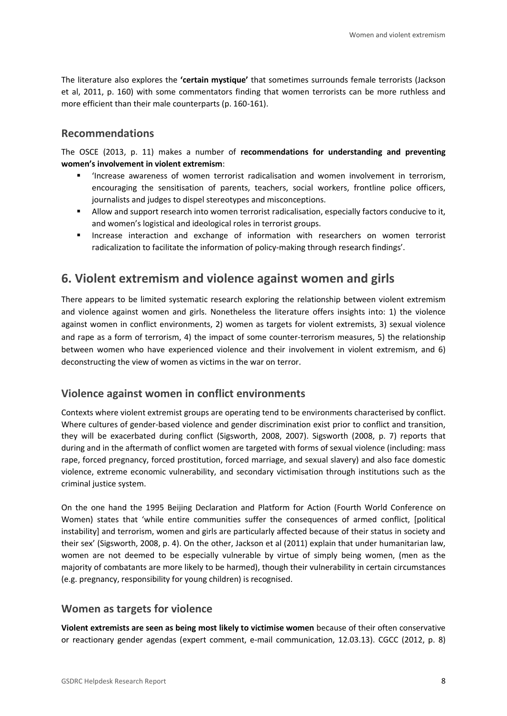The literature also explores the **'certain mystique'** that sometimes surrounds female terrorists (Jackson et al, 2011, p. 160) with some commentators finding that women terrorists can be more ruthless and more efficient than their male counterparts (p. 160-161).

#### **Recommendations**

The OSCE (2013, p. 11) makes a number of **recommendations for understanding and preventing women's involvement in violent extremism**:

- 'Increase awareness of women terrorist radicalisation and women involvement in terrorism, encouraging the sensitisation of parents, teachers, social workers, frontline police officers, journalists and judges to dispel stereotypes and misconceptions.
- Allow and support research into women terrorist radicalisation, especially factors conducive to it, and women's logistical and ideological roles in terrorist groups.
- **Increase interaction and exchange of information with researchers on women terrorist** radicalization to facilitate the information of policy-making through research findings'.

### <span id="page-7-0"></span>**6. Violent extremism and violence against women and girls**

There appears to be limited systematic research exploring the relationship between violent extremism and violence against women and girls. Nonetheless the literature offers insights into: 1) the violence against women in conflict environments, 2) women as targets for violent extremists, 3) sexual violence and rape as a form of terrorism, 4) the impact of some counter-terrorism measures, 5) the relationship between women who have experienced violence and their involvement in violent extremism, and 6) deconstructing the view of women as victims in the war on terror.

#### **Violence against women in conflict environments**

Contexts where violent extremist groups are operating tend to be environments characterised by conflict. Where cultures of gender-based violence and gender discrimination exist prior to conflict and transition, they will be exacerbated during conflict (Sigsworth, 2008, 2007). Sigsworth (2008, p. 7) reports that during and in the aftermath of conflict women are targeted with forms of sexual violence (including: mass rape, forced pregnancy, forced prostitution, forced marriage, and sexual slavery) and also face domestic violence, extreme economic vulnerability, and secondary victimisation through institutions such as the criminal justice system.

On the one hand the 1995 Beijing Declaration and Platform for Action (Fourth World Conference on Women) states that 'while entire communities suffer the consequences of armed conflict, [political instability] and terrorism, women and girls are particularly affected because of their status in society and their sex' (Sigsworth, 2008, p. 4). On the other, Jackson et al (2011) explain that under humanitarian law, women are not deemed to be especially vulnerable by virtue of simply being women, (men as the majority of combatants are more likely to be harmed), though their vulnerability in certain circumstances (e.g. pregnancy, responsibility for young children) is recognised.

#### **Women as targets for violence**

**Violent extremists are seen as being most likely to victimise women** because of their often conservative or reactionary gender agendas (expert comment, e-mail communication, 12.03.13). CGCC (2012, p. 8)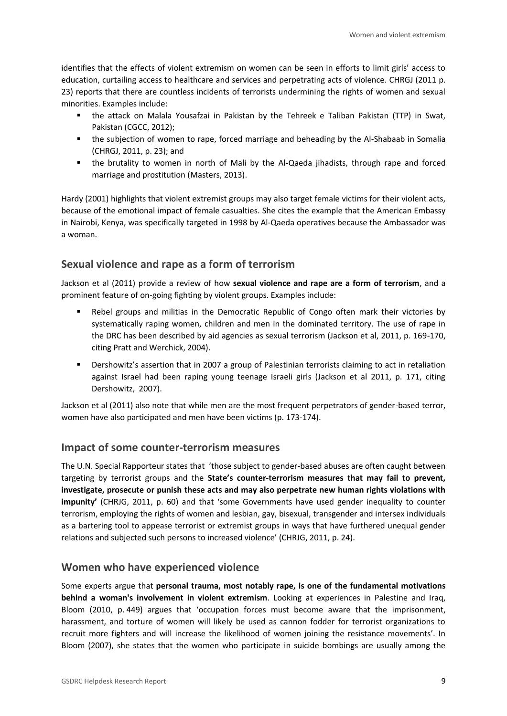identifies that the effects of violent extremism on women can be seen in efforts to limit girls' access to education, curtailing access to healthcare and services and perpetrating acts of violence. CHRGJ (2011 p. 23) reports that there are countless incidents of terrorists undermining the rights of women and sexual minorities. Examples include:

- the attack on Malala Yousafzai in Pakistan by the Tehreek e Taliban Pakistan (TTP) in Swat, Pakistan (CGCC, 2012);
- the subjection of women to rape, forced marriage and beheading by the Al-Shabaab in Somalia (CHRGJ, 2011, p. 23); and
- the brutality to women in north of Mali by the Al-Qaeda jihadists, through rape and forced marriage and prostitution (Masters, 2013).

Hardy (2001) highlights that violent extremist groups may also target female victims for their violent acts, because of the emotional impact of female casualties. She cites the example that the American Embassy in Nairobi, Kenya, was specifically targeted in 1998 by Al-Qaeda operatives because the Ambassador was a woman.

#### **Sexual violence and rape as a form of terrorism**

Jackson et al (2011) provide a review of how **sexual violence and rape are a form of terrorism**, and a prominent feature of on-going fighting by violent groups. Examples include:

- Rebel groups and militias in the Democratic Republic of Congo often mark their victories by systematically raping women, children and men in the dominated territory. The use of rape in the DRC has been described by aid agencies as sexual terrorism (Jackson et al, 2011, p. 169-170, citing Pratt and Werchick, 2004).
- Dershowitz's assertion that in 2007 a group of Palestinian terrorists claiming to act in retaliation against Israel had been raping young teenage Israeli girls (Jackson et al 2011, p. 171, citing Dershowitz, 2007).

Jackson et al (2011) also note that while men are the most frequent perpetrators of gender-based terror, women have also participated and men have been victims (p. 173-174).

#### **Impact of some counter-terrorism measures**

The U.N. Special Rapporteur states that 'those subject to gender-based abuses are often caught between targeting by terrorist groups and the **State's counter-terrorism measures that may fail to prevent, investigate, prosecute or punish these acts and may also perpetrate new human rights violations with impunity'** (CHRJG, 2011, p. 60) and that 'some Governments have used gender inequality to counter terrorism, employing the rights of women and lesbian, gay, bisexual, transgender and intersex individuals as a bartering tool to appease terrorist or extremist groups in ways that have furthered unequal gender relations and subjected such persons to increased violence' (CHRJG, 2011, p. 24).

#### **Women who have experienced violence**

Some experts argue that **personal trauma, most notably rape, is one of the fundamental motivations behind a woman's involvement in violent extremism**. Looking at experiences in Palestine and Iraq, Bloom (2010, p. 449) argues that 'occupation forces must become aware that the imprisonment, harassment, and torture of women will likely be used as cannon fodder for terrorist organizations to recruit more fighters and will increase the likelihood of women joining the resistance movements'. In Bloom (2007), she states that the women who participate in suicide bombings are usually among the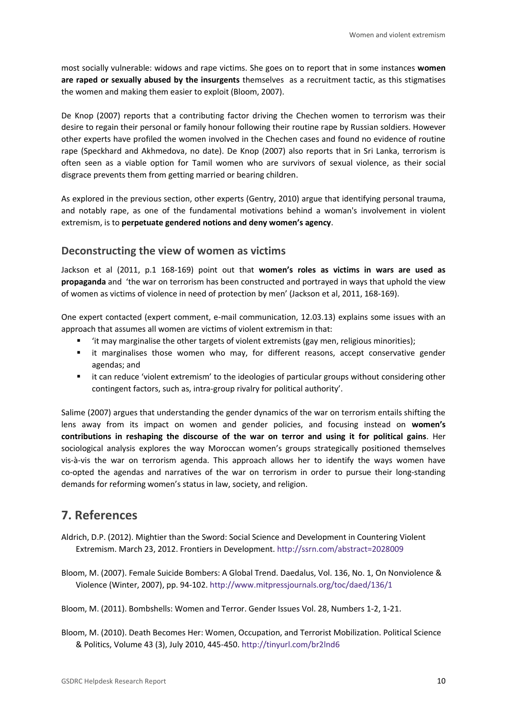most socially vulnerable: widows and rape victims. She goes on to report that in some instances **women are raped or sexually abused by the insurgents** themselves as a recruitment tactic, as this stigmatises the women and making them easier to exploit (Bloom, 2007).

De Knop (2007) reports that a contributing factor driving the Chechen women to terrorism was their desire to regain their personal or family honour following their routine rape by Russian soldiers. However other experts have profiled the women involved in the Chechen cases and found no evidence of routine rape (Speckhard and Akhmedova, no date). De Knop (2007) also reports that in Sri Lanka, terrorism is often seen as a viable option for Tamil women who are survivors of sexual violence, as their social disgrace prevents them from getting married or bearing children.

As explored in the previous section, other experts (Gentry, 2010) argue that identifying personal trauma, and notably rape, as one of the fundamental motivations behind a woman's involvement in violent extremism, is to **perpetuate gendered notions and deny women's agency**.

#### **Deconstructing the view of women as victims**

Jackson et al (2011, p.1 168-169) point out that **women's roles as victims in wars are used as propaganda** and 'the war on terrorism has been constructed and portrayed in ways that uphold the view of women as victims of violence in need of protection by men' (Jackson et al, 2011, 168-169).

One expert contacted (expert comment, e-mail communication, 12.03.13) explains some issues with an approach that assumes all women are victims of violent extremism in that:

- 'it may marginalise the other targets of violent extremists (gay men, religious minorities);
- it marginalises those women who may, for different reasons, accept conservative gender agendas; and
- it can reduce 'violent extremism' to the ideologies of particular groups without considering other contingent factors, such as, intra-group rivalry for political authority'.

Salime (2007) argues that understanding the gender dynamics of the war on terrorism entails shifting the lens away from its impact on women and gender policies, and focusing instead on **women's contributions in reshaping the discourse of the war on terror and using it for political gains**. Her sociological analysis explores the way Moroccan women's groups strategically positioned themselves vis‐à‐vis the war on terrorism agenda. This approach allows her to identify the ways women have co-opted the agendas and narratives of the war on terrorism in order to pursue their long-standing demands for reforming women's status in law, society, and religion.

### <span id="page-9-0"></span>**7. References**

- Aldrich, D.P. (2012). Mightier than the Sword: Social Science and Development in Countering Violent Extremism. March 23, 2012. Frontiers in Development. <http://ssrn.com/abstract=2028009>
- Bloom, M. (2007). Female Suicide Bombers: A Global Trend. Daedalus, Vol. 136, No. 1, On Nonviolence & Violence (Winter, 2007), pp. 94-102. <http://www.mitpressjournals.org/toc/daed/136/1>

Bloom, M. (2011). Bombshells: Women and Terror. Gender Issues Vol. 28, Numbers 1-2, 1-21.

Bloom, M. (2010). Death Becomes Her: Women, Occupation, and Terrorist Mobilization. Political Science & Politics, Volume 43 (3), July 2010, 445-450. <http://tinyurl.com/br2lnd6>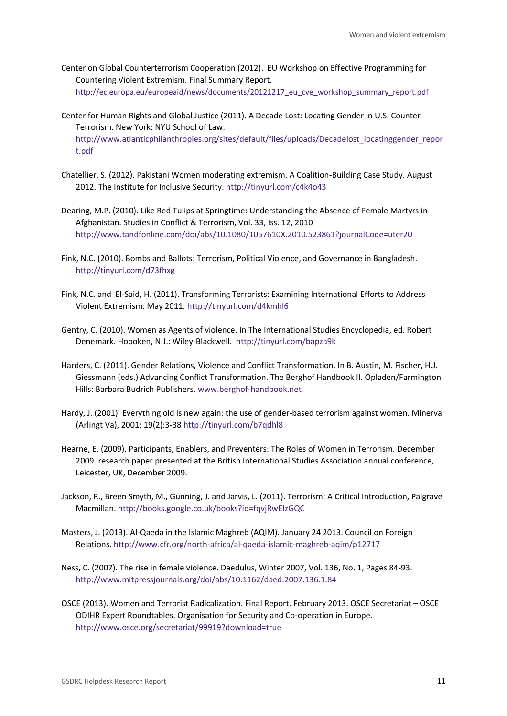- Center on Global Counterterrorism Cooperation (2012). EU Workshop on Effective Programming for Countering Violent Extremism. Final Summary Report. [http://ec.europa.eu/europeaid/news/documents/20121217\\_eu\\_cve\\_workshop\\_summary\\_report.pdf](http://ec.europa.eu/europeaid/news/documents/20121217_eu_cve_workshop_summary_report.pdf)
- Center for Human Rights and Global Justice (2011). A Decade Lost: Locating Gender in U.S. Counter-Terrorism. New York: NYU School of Law. [http://www.atlanticphilanthropies.org/sites/default/files/uploads/Decadelost\\_locatinggender\\_repor](http://www.atlanticphilanthropies.org/sites/default/files/uploads/Decadelost_locatinggender_report.pdf) [t.pdf](http://www.atlanticphilanthropies.org/sites/default/files/uploads/Decadelost_locatinggender_report.pdf)
- Chatellier, S. (2012). Pakistani Women moderating extremism. A Coalition-Building Case Study. August 2012. The Institute for Inclusive Security. <http://tinyurl.com/c4k4o43>
- Dearing, M.P. (2010). Like Red Tulips at Springtime: Understanding the Absence of Female Martyrs in Afghanistan. Studies in Conflict & Terrorism, Vol. 33, Iss. 12, 2010 <http://www.tandfonline.com/doi/abs/10.1080/1057610X.2010.523861?journalCode=uter20>
- Fink, N.C. (2010). Bombs and Ballots: Terrorism, Political Violence, and Governance in Bangladesh. http://tinyurl.com/d73fhxg
- Fink, N.C. and El-Said, H. (2011). Transforming Terrorists: Examining International Efforts to Address Violent Extremism. May 2011.<http://tinyurl.com/d4kmhl6>
- Gentry, C. (2010). Women as Agents of violence. In The International Studies Encyclopedia, ed. Robert Denemark. Hoboken, N.J.: Wiley-Blackwell. <http://tinyurl.com/bapza9k>
- Harders, C. (2011). Gender Relations, Violence and Conflict Transformation. In B. Austin, M. Fischer, H.J. Giessmann (eds.) Advancing Conflict Transformation. The Berghof Handbook II. Opladen/Farmington Hills: Barbara Budrich Publishers. [www.berghof-handbook.net](http://www.berghof-handbook.net/)
- Hardy, J. (2001). Everything old is new again: the use of gender-based terrorism against women. Minerva (Arlingt Va), 2001; 19(2):3-3[8 http://tinyurl.com/b7qdhl8](http://tinyurl.com/b7qdhl8)
- Hearne, E. (2009). Participants, Enablers, and Preventers: The Roles of Women in Terrorism. December 2009. research paper presented at the British International Studies Association annual conference, Leicester, UK, December 2009.
- Jackson, R., Breen Smyth, M., Gunning, J. and Jarvis, L. (2011). Terrorism: A Critical Introduction, Palgrave Macmillan. <http://books.google.co.uk/books?id=fqvjRwEIzGQC>
- Masters, J. (2013). Al-Qaeda in the Islamic Maghreb (AQIM). January 24 2013. Council on Foreign Relations[. http://www.cfr.org/north-africa/al-qaeda-islamic-maghreb-aqim/p12717](http://www.cfr.org/north-africa/al-qaeda-islamic-maghreb-aqim/p12717)
- Ness, C. (2007). The rise in female violence. Daedulus, Winter 2007, Vol. 136, No. 1, Pages 84-93. <http://www.mitpressjournals.org/doi/abs/10.1162/daed.2007.136.1.84>
- OSCE (2013). Women and Terrorist Radicalization. Final Report. February 2013. OSCE Secretariat OSCE ODIHR Expert Roundtables. Organisation for Security and Co-operation in Europe. <http://www.osce.org/secretariat/99919?download=true>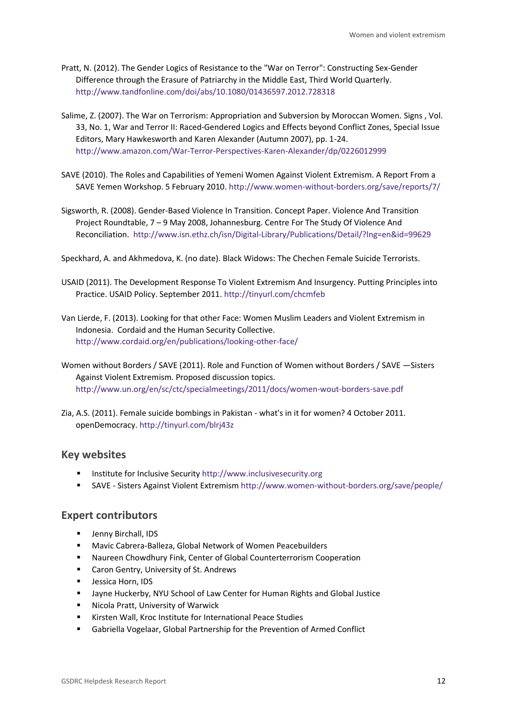- Pratt, N. (2012). The Gender Logics of Resistance to the "War on Terror": Constructing Sex-Gender Difference through the Erasure of Patriarchy in the Middle East, Third World Quarterly. <http://www.tandfonline.com/doi/abs/10.1080/01436597.2012.728318>
- Salime, Z. (2007). The War on Terrorism: Appropriation and Subversion by Moroccan Women. Signs , Vol. 33, No. 1, War and Terror II: Raced‐Gendered Logics and Effects beyond Conflict Zones, Special Issue Editors, Mary Hawkesworth and Karen Alexander (Autumn 2007), pp. 1-24. <http://www.amazon.com/War-Terror-Perspectives-Karen-Alexander/dp/0226012999>
- SAVE (2010). The Roles and Capabilities of Yemeni Women Against Violent Extremism. A Report From a SAVE Yemen Workshop. 5 February 2010. <http://www.women-without-borders.org/save/reports/7/>
- Sigsworth, R. (2008). Gender-Based Violence In Transition. Concept Paper. Violence And Transition Project Roundtable, 7 – 9 May 2008, Johannesburg. Centre For The Study Of Violence And Reconciliation. <http://www.isn.ethz.ch/isn/Digital-Library/Publications/Detail/?lng=en&id=99629>
- Speckhard, A. and Akhmedova, K. (no date). Black Widows: The Chechen Female Suicide Terrorists.
- USAID (2011). The Development Response To Violent Extremism And Insurgency. Putting Principles into Practice. USAID Policy. September 2011. <http://tinyurl.com/chcmfeb>
- Van Lierde, F. (2013). Looking for that other Face: Women Muslim Leaders and Violent Extremism in Indonesia. Cordaid and the Human Security Collective. <http://www.cordaid.org/en/publications/looking-other-face/>
- Women without Borders / SAVE (2011). Role and Function of Women without Borders / SAVE —Sisters Against Violent Extremism. Proposed discussion topics. <http://www.un.org/en/sc/ctc/specialmeetings/2011/docs/women-wout-borders-save.pdf>
- Zia, A.S. (2011). Female suicide bombings in Pakistan what's in it for women? 4 October 2011. openDemocracy. <http://tinyurl.com/blrj43z>

#### **Key websites**

- **Institute for Inclusive Security [http://www.inclusivesecurity.org](http://www.inclusivesecurity.org/)**
- SAVE Sisters Against Violent Extremism<http://www.women-without-borders.org/save/people/>

#### **Expert contributors**

- **Jenny Birchall, IDS**
- Mavic Cabrera-Balleza, Global Network of Women Peacebuilders
- Naureen Chowdhury Fink, Center of Global Counterterrorism Cooperation
- **EX Caron Gentry, University of St. Andrews**
- **Jessica Horn, IDS**
- Jayne Huckerby, NYU School of Law Center for Human Rights and Global Justice
- **Nicola Pratt, University of Warwick**
- Kirsten Wall, Kroc Institute for International Peace Studies
- Gabriella Vogelaar, Global Partnership for the Prevention of Armed Conflict